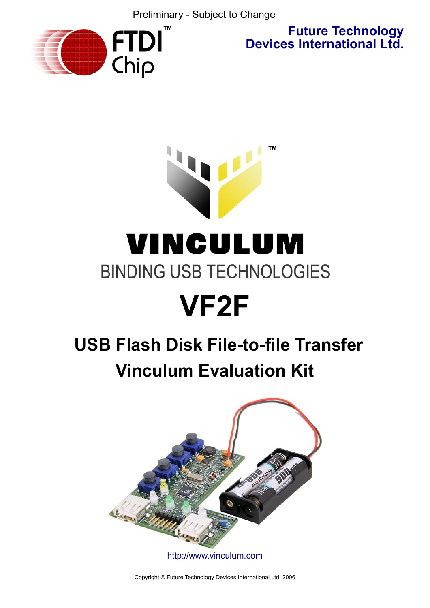Preliminary - Subject to Change



**Future Technology Devices International Ltd.**

# **™** VINCULUM **BINDING USB TECHNOLOGIES**

# **VF2F**

# **USB Flash Disk File-to-file Transfer Vinculum Evaluation Kit**



<http://www.vinculum.com>

Copyright © Future Technology Devices International Ltd. 2006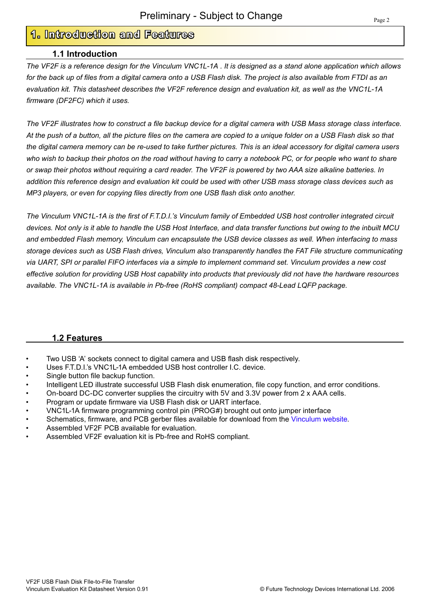# **1. Introduction and Features**

### **1.1 Introduction**

*The VF2F is a reference design for the Vinculum VNC1L-1A . It is designed as a stand alone application which allows for the back up of files from a digital camera onto a USB Flash disk. The project is also available from FTDI as an evaluation kit. This datasheet describes the VF2F reference design and evaluation kit, as well as the VNC1L-1A firmware (DF2FC) which it uses.*

*The VF2F illustrates how to construct a file backup device for a digital camera with USB Mass storage class interface. At the push of a button, all the picture files on the camera are copied to a unique folder on a USB Flash disk so that the digital camera memory can be re-used to take further pictures. This is an ideal accessory for digital camera users who wish to backup their photos on the road without having to carry a notebook PC, or for people who want to share or swap their photos without requiring a card reader. The VF2F is powered by two AAA size alkaline batteries. In addition this reference design and evaluation kit could be used with other USB mass storage class devices such as MP3 players, or even for copying files directly from one USB flash disk onto another.*

*The Vinculum VNC1L-1A is the first of F.T.D.I.'s Vinculum family of Embedded USB host controller integrated circuit devices. Not only is it able to handle the USB Host Interface, and data transfer functions but owing to the inbuilt MCU and embedded Flash memory, Vinculum can encapsulate the USB device classes as well. When interfacing to mass storage devices such as USB Flash drives, Vinculum also transparently handles the FAT File structure communicating via UART, SPI or parallel FIFO interfaces via a simple to implement command set. Vinculum provides a new cost effective solution for providing USB Host capability into products that previously did not have the hardware resources available. The VNC1L-1A is available in Pb-free (RoHS compliant) compact 48-Lead LQFP package.* 

#### **1.2 Features**

- Two USB 'A' sockets connect to digital camera and USB flash disk respectively.
- Uses F.T.D.I.'s VNC1L-1A embedded USB host controller I.C. device.
- Single button file backup function.
- Intelligent LED illustrate successful USB Flash disk enumeration, file copy function, and error conditions.
- On-board DC-DC converter supplies the circuitry with 5V and 3.3V power from 2 x AAA cells.
- Program or update firmware via USB Flash disk or UART interface.
- VNC1L-1A firmware programming control pin (PROG#) brought out onto jumper interface
- Schematics, firmware, and PCB gerber files available for download from the [Vinculum website.](http://www.vinculum.com)
- Assembled VF2F PCB available for evaluation.
- Assembled VF2F evaluation kit is Pb-free and RoHS compliant.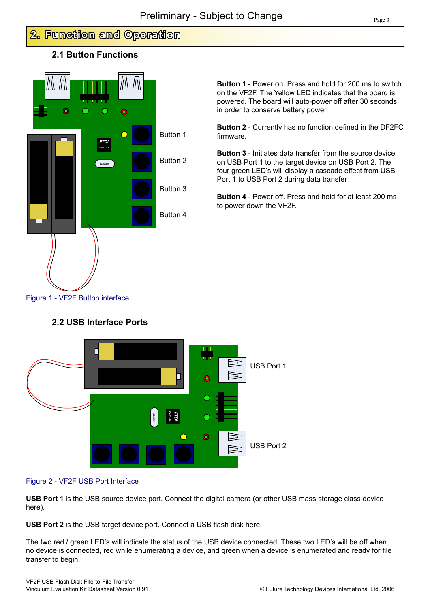# **2. Function and Operation**

# **2.1 Button Functions**



**Button 1** - Power on. Press and hold for 200 ms to switch on the VF2F. The Yellow LED indicates that the board is powered. The board will auto-power off after 30 seconds in order to conserve battery power.

**Button 2** - Currently has no function defined in the DF2FC firmware.

**Button 3** - Initiates data transfer from the source device on USB Port 1 to the target device on USB Port 2. The four green LED's will display a cascade effect from USB Port 1 to USB Port 2 during data transfer

**Button 4** - Power off. Press and hold for at least 200 ms to power down the VF2F.

## Figure 1 - VF2F Button interface



# **2.2 USB Interface Ports**

#### Figure 2 - VF2F USB Port Interface

**USB Port 1** is the USB source device port. Connect the digital camera (or other USB mass storage class device here).

**USB Port 2** is the USB target device port. Connect a USB flash disk here.

The two red / green LED's will indicate the status of the USB device connected. These two LED's will be off when no device is connected, red while enumerating a device, and green when a device is enumerated and ready for file transfer to begin.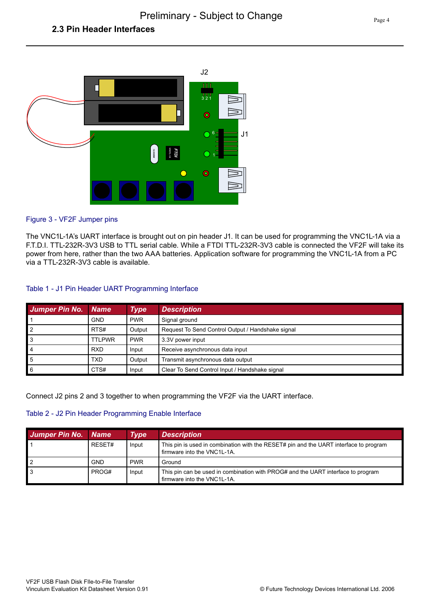# **2.3 Pin Header Interfaces**



#### Figure 3 - VF2F Jumper pins

The VNC1L-1A's UART interface is brought out on pin header J1. It can be used for programming the VNC1L-1A via a F.T.D.I. TTL-232R-3V3 USB to TTL serial cable. While a FTDI TTL-232R-3V3 cable is connected the VF2F will take its power from here, rather than the two AAA batteries. Application software for programming the VNC1L-1A from a PC via a TTL-232R-3V3 cable is available.

#### Table 1 - J1 Pin Header UART Programming Interface

| <b>Jumper Pin No. Name</b> |               | Type       | <b>Description</b>                                |
|----------------------------|---------------|------------|---------------------------------------------------|
|                            | <b>GND</b>    | <b>PWR</b> | Signal ground                                     |
| l 2                        | RTS#          | Output     | Request To Send Control Output / Handshake signal |
| l 3                        | <b>TTLPWR</b> | <b>PWR</b> | 3.3V power input                                  |
| ∎4                         | <b>RXD</b>    | Input      | Receive asynchronous data input                   |
| l 5                        | TXD           | Output     | Transmit asynchronous data output                 |
| l 6                        | CTS#          | Input      | Clear To Send Control Input / Handshake signal    |

Connect J2 pins 2 and 3 together to when programming the VF2F via the UART interface.

#### Table 2 - J2 Pin Header Programming Enable Interface

| Jumper Pin No. Name |            | Type       | <b>Description</b>                                                                                                   |
|---------------------|------------|------------|----------------------------------------------------------------------------------------------------------------------|
|                     | RESET#     | Input      | This pin is used in combination with the RESET# pin and the UART interface to program<br>firmware into the VNC1L-1A. |
|                     | <b>GND</b> | <b>PWR</b> | Ground                                                                                                               |
| 3                   | PROG#      | Input      | This pin can be used in combination with PROG# and the UART interface to program<br>firmware into the VNC1L-1A.      |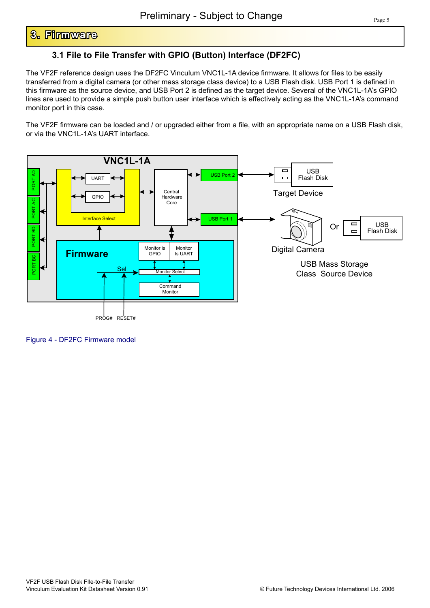# **3. Firmware**

# **3.1 File to File Transfer with GPIO (Button) Interface (DF2FC)**

The VF2F reference design uses the DF2FC Vinculum VNC1L-1A device firmware. It allows for files to be easily transferred from a digital camera (or other mass storage class device) to a USB Flash disk. USB Port 1 is defined in this firmware as the source device, and USB Port 2 is defined as the target device. Several of the VNC1L-1A's GPIO lines are used to provide a simple push button user interface which is effectively acting as the VNC1L-1A's command monitor port in this case.

The VF2F firmware can be loaded and / or upgraded either from a file, with an appropriate name on a USB Flash disk, or via the VNC1L-1A's UART interface.



Figure 4 - DF2FC Firmware model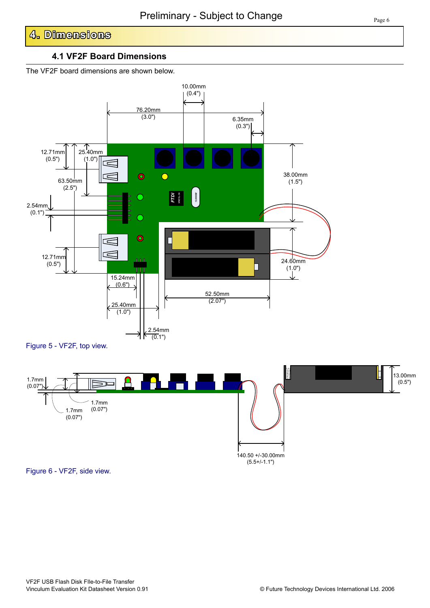# **4. Dimensions**

#### **4.1 VF2F Board Dimensions**

The VF2F board dimensions are shown below.



Figure 6 - VF2F, side view.